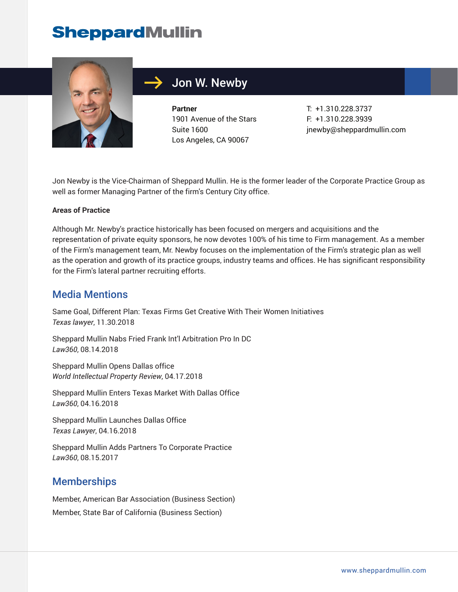## **SheppardMullin**



### Jon W. Newby

**Partner** 1901 Avenue of the Stars Suite 1600 Los Angeles, CA 90067

T: +1.310.228.3737 F: +1.310.228.3939 jnewby@sheppardmullin.com

Jon Newby is the Vice-Chairman of Sheppard Mullin. He is the former leader of the Corporate Practice Group as well as former Managing Partner of the firm's Century City office.

#### **Areas of Practice**

Although Mr. Newby's practice historically has been focused on mergers and acquisitions and the representation of private equity sponsors, he now devotes 100% of his time to Firm management. As a member of the Firm's management team, Mr. Newby focuses on the implementation of the Firm's strategic plan as well as the operation and growth of its practice groups, industry teams and offices. He has significant responsibility for the Firm's lateral partner recruiting efforts.

#### Media Mentions

Same Goal, Different Plan: Texas Firms Get Creative With Their Women Initiatives *Texas lawyer*, 11.30.2018

Sheppard Mullin Nabs Fried Frank Int'l Arbitration Pro In DC *Law360*, 08.14.2018

Sheppard Mullin Opens Dallas office *World Intellectual Property Review*, 04.17.2018

Sheppard Mullin Enters Texas Market With Dallas Office *Law360*, 04.16.2018

Sheppard Mullin Launches Dallas Office *Texas Lawyer*, 04.16.2018

Sheppard Mullin Adds Partners To Corporate Practice *Law360*, 08.15.2017

### **Memberships**

Member, American Bar Association (Business Section) Member, State Bar of California (Business Section)